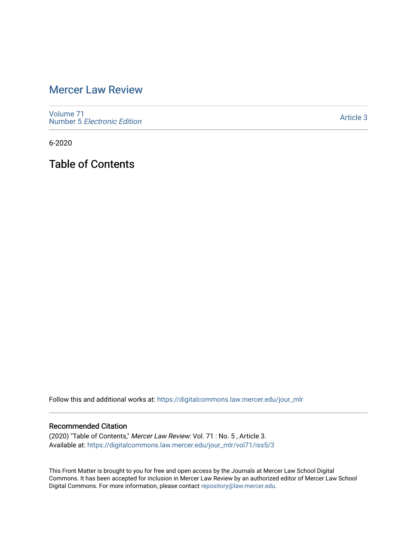## [Mercer Law Review](https://digitalcommons.law.mercer.edu/jour_mlr)

[Volume 71](https://digitalcommons.law.mercer.edu/jour_mlr/vol71) Number 5 [Electronic Edition](https://digitalcommons.law.mercer.edu/jour_mlr/vol71/iss5) 

[Article 3](https://digitalcommons.law.mercer.edu/jour_mlr/vol71/iss5/3) 

6-2020

Table of Contents

Follow this and additional works at: [https://digitalcommons.law.mercer.edu/jour\\_mlr](https://digitalcommons.law.mercer.edu/jour_mlr?utm_source=digitalcommons.law.mercer.edu%2Fjour_mlr%2Fvol71%2Fiss5%2F3&utm_medium=PDF&utm_campaign=PDFCoverPages)

#### Recommended Citation

(2020) "Table of Contents," Mercer Law Review: Vol. 71 : No. 5 , Article 3. Available at: [https://digitalcommons.law.mercer.edu/jour\\_mlr/vol71/iss5/3](https://digitalcommons.law.mercer.edu/jour_mlr/vol71/iss5/3?utm_source=digitalcommons.law.mercer.edu%2Fjour_mlr%2Fvol71%2Fiss5%2F3&utm_medium=PDF&utm_campaign=PDFCoverPages)

This Front Matter is brought to you for free and open access by the Journals at Mercer Law School Digital Commons. It has been accepted for inclusion in Mercer Law Review by an authorized editor of Mercer Law School Digital Commons. For more information, please contact [repository@law.mercer.edu](mailto:repository@law.mercer.edu).